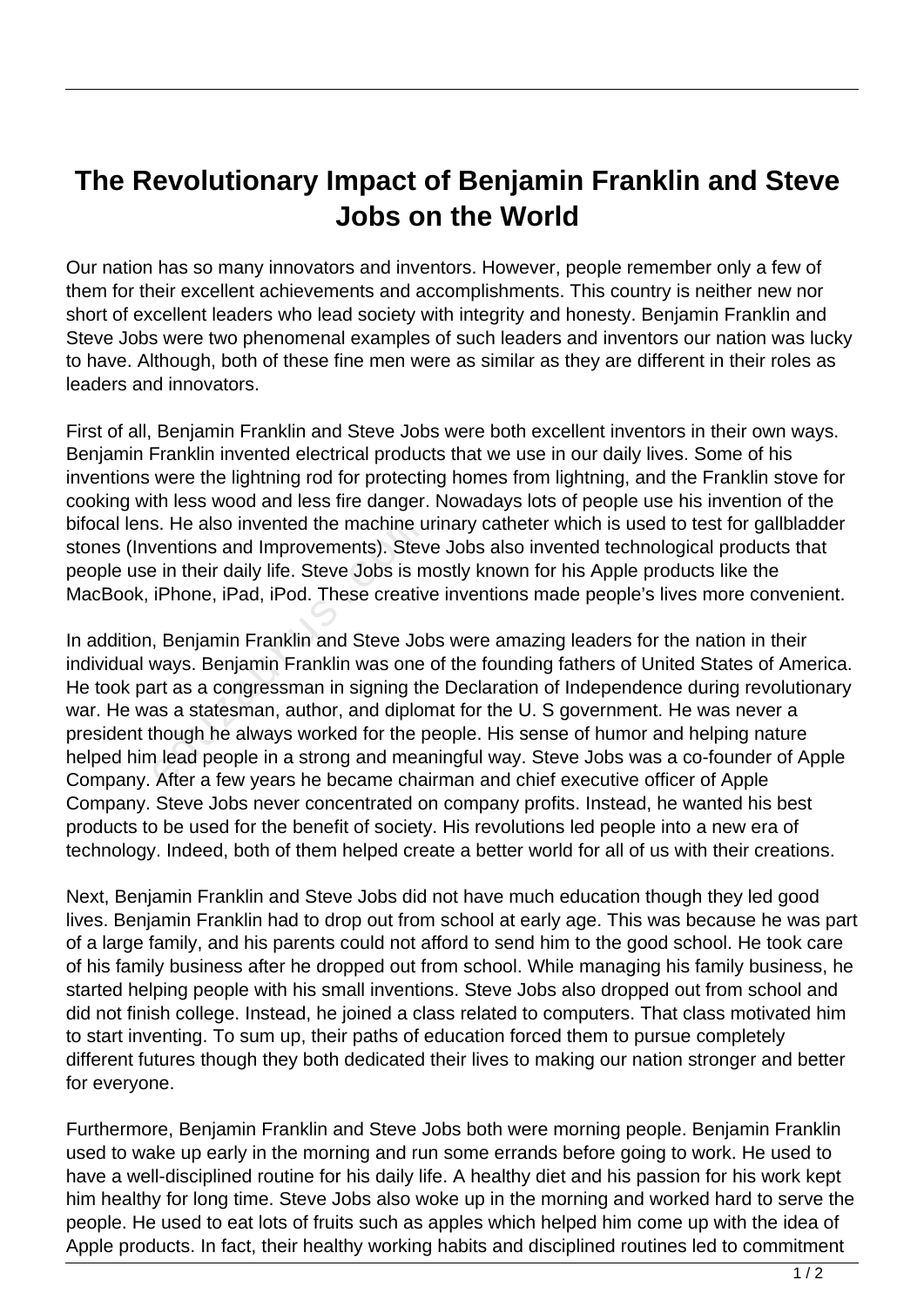## **The Revolutionary Impact of Benjamin Franklin and Steve Jobs on the World**

Our nation has so many innovators and inventors. However, people remember only a few of them for their excellent achievements and accomplishments. This country is neither new nor short of excellent leaders who lead society with integrity and honesty. Benjamin Franklin and Steve Jobs were two phenomenal examples of such leaders and inventors our nation was lucky to have. Although, both of these fine men were as similar as they are different in their roles as leaders and innovators.

First of all, Benjamin Franklin and Steve Jobs were both excellent inventors in their own ways. Benjamin Franklin invented electrical products that we use in our daily lives. Some of his inventions were the lightning rod for protecting homes from lightning, and the Franklin stove for cooking with less wood and less fire danger. Nowadays lots of people use his invention of the bifocal lens. He also invented the machine urinary catheter which is used to test for gallbladder stones (Inventions and Improvements). Steve Jobs also invented technological products that people use in their daily life. Steve Jobs is mostly known for his Apple products like the MacBook, iPhone, iPad, iPod. These creative inventions made people's lives more convenient.

In addition, Benjamin Franklin and Steve Jobs were amazing leaders for the nation in their individual ways. Benjamin Franklin was one of the founding fathers of United States of America. He took part as a congressman in signing the Declaration of Independence during revolutionary war. He was a statesman, author, and diplomat for the U. S government. He was never a president though he always worked for the people. His sense of humor and helping nature helped him lead people in a strong and meaningful way. Steve Jobs was a co-founder of Apple Company. After a few years he became chairman and chief executive officer of Apple Company. Steve Jobs never concentrated on company profits. Instead, he wanted his best products to be used for the benefit of society. His revolutions led people into a new era of technology. Indeed, both of them helped create a better world for all of us with their creations. s. He also invented the machine u<br>ventions and Improvements). Stev<br>e in their daily life. Steve Jobs is m<br>iPhone, iPad, iPod. These creativ<br>, Benjamin Franklin and Steve Jok<br>ways. Benjamin Franklin was one<br>art as a congres

Next, Benjamin Franklin and Steve Jobs did not have much education though they led good lives. Benjamin Franklin had to drop out from school at early age. This was because he was part of a large family, and his parents could not afford to send him to the good school. He took care of his family business after he dropped out from school. While managing his family business, he started helping people with his small inventions. Steve Jobs also dropped out from school and did not finish college. Instead, he joined a class related to computers. That class motivated him to start inventing. To sum up, their paths of education forced them to pursue completely different futures though they both dedicated their lives to making our nation stronger and better for everyone.

Furthermore, Benjamin Franklin and Steve Jobs both were morning people. Benjamin Franklin used to wake up early in the morning and run some errands before going to work. He used to have a well-disciplined routine for his daily life. A healthy diet and his passion for his work kept him healthy for long time. Steve Jobs also woke up in the morning and worked hard to serve the people. He used to eat lots of fruits such as apples which helped him come up with the idea of Apple products. In fact, their healthy working habits and disciplined routines led to commitment